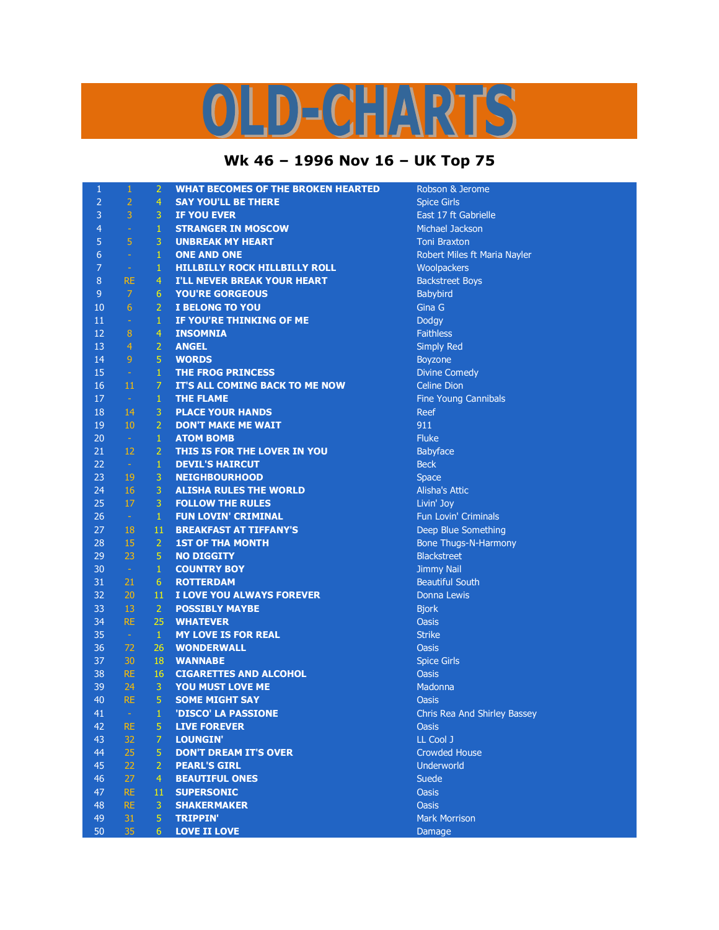## LD-CHARTS

## **Wk 46 – 1996 Nov 16 – UK Top 75**

| 1              | $\mathbf{1}$   | 2               | <b>WHAT BECOMES OF THE BROKEN HEARTED</b> | Robson & Jerome              |
|----------------|----------------|-----------------|-------------------------------------------|------------------------------|
| $\overline{2}$ | $\overline{2}$ | $\overline{4}$  | <b>SAY YOU'LL BE THERE</b>                | <b>Spice Girls</b>           |
| 3              | 3              | 3               | <b>IF YOU EVER</b>                        | East 17 ft Gabrielle         |
| 4              | $\equiv$       | $\mathbf{1}$    | <b>STRANGER IN MOSCOW</b>                 | Michael Jackson              |
| 5              | 5              | 3               | <b>UNBREAK MY HEART</b>                   | <b>Toni Braxton</b>          |
| $\overline{6}$ | $\omega$       | $\mathbf{1}$    | <b>ONE AND ONE</b>                        | Robert Miles ft Maria Nayler |
| 7              | $\sim$         | $\mathbf{1}$    | <b>HILLBILLY ROCK HILLBILLY ROLL</b>      | Woolpackers                  |
| 8              | <b>RE</b>      | $\overline{4}$  | <b>I'LL NEVER BREAK YOUR HEART</b>        | <b>Backstreet Boys</b>       |
| 9              | $\overline{7}$ | 6               | <b>YOU'RE GORGEOUS</b>                    | Babybird                     |
| 10             | 6              | $\overline{2}$  | I BELONG TO YOU                           | Gina G                       |
| 11             | $\omega$       | $\mathbf{1}$    | IF YOU'RE THINKING OF ME                  | <b>Dodgy</b>                 |
| 12             | 8              | 4               | <b>INSOMNIA</b>                           | <b>Faithless</b>             |
| 13             | $\overline{4}$ | $\overline{2}$  | <b>ANGEL</b>                              | <b>Simply Red</b>            |
| 14             | $\overline{9}$ | 5               | <b>WORDS</b>                              | <b>Boyzone</b>               |
| 15             | $\sim$         | $\mathbf{1}$    | <b>THE FROG PRINCESS</b>                  | <b>Divine Comedy</b>         |
| 16             | 11             | $\overline{7}$  | IT'S ALL COMING BACK TO ME NOW            | <b>Celine Dion</b>           |
| 17             | $\sim$         | $\mathbf{1}$    | <b>THE FLAME</b>                          | <b>Fine Young Cannibals</b>  |
| 18             | 14             | 3               | <b>PLACE YOUR HANDS</b>                   | Reef                         |
| 19             | 10             | $\overline{2}$  | <b>DON'T MAKE ME WAIT</b>                 | 911                          |
| 20             | $\sim$         | $\mathbf{1}$    | <b>ATOM BOMB</b>                          | <b>Fluke</b>                 |
| 21             | 12             | $\overline{2}$  | THIS IS FOR THE LOVER IN YOU              | <b>Babyface</b>              |
| 22             | $\sim$         | $\mathbf{1}$    | <b>DEVIL'S HAIRCUT</b>                    | <b>Beck</b>                  |
| 23             | 19             | 3               | <b>NEIGHBOURHOOD</b>                      | <b>Space</b>                 |
| 24             | 16             | 3               | <b>ALISHA RULES THE WORLD</b>             | <b>Alisha's Attic</b>        |
| 25             | 17             | 3               | <b>FOLLOW THE RULES</b>                   | Livin' Joy                   |
| 26             | $\sim$         | $\mathbf{1}$    | <b>FUN LOVIN' CRIMINAL</b>                | Fun Lovin' Criminals         |
| 27             | 18             | 11              | <b>BREAKFAST AT TIFFANY'S</b>             | Deep Blue Something          |
| 28             | 15             | $\overline{2}$  | <b>1ST OF THA MONTH</b>                   | <b>Bone Thugs-N-Harmony</b>  |
| 29             | 23             | 5               | <b>NO DIGGITY</b>                         | <b>Blackstreet</b>           |
| 30             | $\sim$         | $\mathbf{1}$    | <b>COUNTRY BOY</b>                        | <b>Jimmy Nail</b>            |
| 31             | 21             | $6\phantom{1}6$ | <b>ROTTERDAM</b>                          | <b>Beautiful South</b>       |
| 32             | 20             | 11              | I LOVE YOU ALWAYS FOREVER                 | Donna Lewis                  |
| 33             | 13             | $\overline{2}$  | <b>POSSIBLY MAYBE</b>                     | <b>Bjork</b>                 |
| 34             | <b>RE</b>      | 25              | <b>WHATEVER</b>                           | <b>Oasis</b>                 |
| 35             | $\sim$         | $\mathbf{1}$    | <b>MY LOVE IS FOR REAL</b>                | <b>Strike</b>                |
| 36             | 72             | 26              | <b>WONDERWALL</b>                         | <b>Oasis</b>                 |
| 37             | 30             | 18              | <b>WANNABE</b>                            | <b>Spice Girls</b>           |
| 38             | <b>RE</b>      | 16              | <b>CIGARETTES AND ALCOHOL</b>             | <b>Oasis</b>                 |
| 39             | 24             | 3               | YOU MUST LOVE ME                          | Madonna                      |
| 40             | <b>RE</b>      | 5               | <b>SOME MIGHT SAY</b>                     | <b>Oasis</b>                 |
| 41             |                | 1               | 'DISCO' LA PASSIONE                       | Chris Rea And Shirley Bassey |
| 42             | RE.            | 5               | <b>LIVE FOREVER</b>                       | <b>Oasis</b>                 |
| 43             | 32             | $\overline{7}$  | <b>LOUNGIN'</b>                           | LL Cool J                    |
| 44             | 25             | 5               | <b>DON'T DREAM IT'S OVER</b>              | <b>Crowded House</b>         |
| 45             | 22             | $\overline{2}$  | <b>PEARL'S GIRL</b>                       | Underworld                   |
| 46             | 27             | $\overline{4}$  | <b>BEAUTIFUL ONES</b>                     | <b>Suede</b>                 |
| 47             | <b>RE</b>      | 11              | <b>SUPERSONIC</b>                         | <b>Oasis</b>                 |
| 48             | <b>RE</b>      | 3               | <b>SHAKERMAKER</b>                        | <b>Oasis</b>                 |
| 49             | 31             | 5               | <b>TRIPPIN'</b>                           | <b>Mark Morrison</b>         |
| 50             | 35             | 6 <sup>1</sup>  | <b>LOVE II LOVE</b>                       | <b>Damage</b>                |
|                |                |                 |                                           |                              |